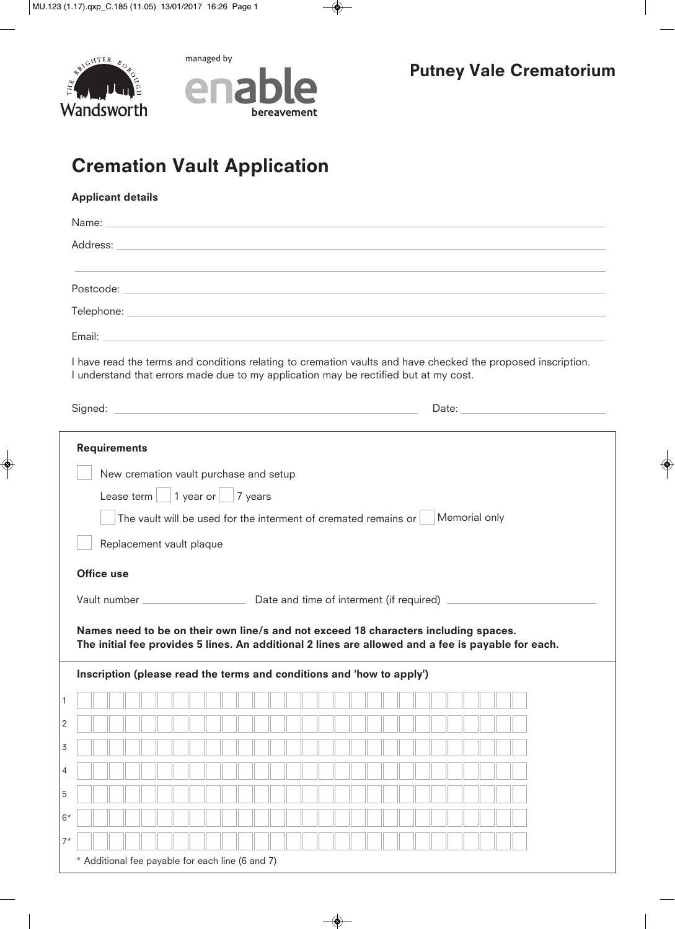

managed by



# **Cremation Vault Application**

|                   |                     |                                                                                 |  |  |  |  |  | Name: <u>example and the contract of the contract of the contract of the contract of the contract of the contract of the contract of the contract of the contract of the contract of the contract of the contract of the contrac</u> |  |  |  |  |  |  |  |  |
|-------------------|---------------------|---------------------------------------------------------------------------------|--|--|--|--|--|--------------------------------------------------------------------------------------------------------------------------------------------------------------------------------------------------------------------------------------|--|--|--|--|--|--|--|--|
|                   |                     |                                                                                 |  |  |  |  |  |                                                                                                                                                                                                                                      |  |  |  |  |  |  |  |  |
|                   |                     |                                                                                 |  |  |  |  |  |                                                                                                                                                                                                                                      |  |  |  |  |  |  |  |  |
|                   |                     |                                                                                 |  |  |  |  |  |                                                                                                                                                                                                                                      |  |  |  |  |  |  |  |  |
|                   |                     |                                                                                 |  |  |  |  |  | Email: Email: Email: All and the Contract of the Contract of the Contract of the Contract of the Contract of the Contract of the Contract of the Contract of the Contract of the Contract of the Contract of the Contract of t       |  |  |  |  |  |  |  |  |
|                   |                     |                                                                                 |  |  |  |  |  | I have read the terms and conditions relating to cremation vaults and have checked the proposed inscription.<br>I understand that errors made due to my application may be rectified but at my cost.                                 |  |  |  |  |  |  |  |  |
|                   |                     |                                                                                 |  |  |  |  |  | Signed: <u>National Communication</u> Date: Date: Date: National Date: National Date: National Date: National Date: National Date: National Date: National Date: National Date: National Date: National Date: National Date: Nation  |  |  |  |  |  |  |  |  |
|                   | <b>Requirements</b> |                                                                                 |  |  |  |  |  |                                                                                                                                                                                                                                      |  |  |  |  |  |  |  |  |
|                   |                     | New cremation vault purchase and setup                                          |  |  |  |  |  |                                                                                                                                                                                                                                      |  |  |  |  |  |  |  |  |
|                   |                     | Lease term 1 year or 7 years                                                    |  |  |  |  |  |                                                                                                                                                                                                                                      |  |  |  |  |  |  |  |  |
|                   |                     |                                                                                 |  |  |  |  |  |                                                                                                                                                                                                                                      |  |  |  |  |  |  |  |  |
|                   |                     | The vault will be used for the interment of cremated remains or   Memorial only |  |  |  |  |  |                                                                                                                                                                                                                                      |  |  |  |  |  |  |  |  |
|                   |                     |                                                                                 |  |  |  |  |  |                                                                                                                                                                                                                                      |  |  |  |  |  |  |  |  |
|                   |                     | Replacement vault plaque                                                        |  |  |  |  |  |                                                                                                                                                                                                                                      |  |  |  |  |  |  |  |  |
| <b>Office use</b> |                     |                                                                                 |  |  |  |  |  |                                                                                                                                                                                                                                      |  |  |  |  |  |  |  |  |
|                   |                     |                                                                                 |  |  |  |  |  |                                                                                                                                                                                                                                      |  |  |  |  |  |  |  |  |
|                   |                     |                                                                                 |  |  |  |  |  |                                                                                                                                                                                                                                      |  |  |  |  |  |  |  |  |
|                   |                     |                                                                                 |  |  |  |  |  | Names need to be on their own line/s and not exceed 18 characters including spaces.                                                                                                                                                  |  |  |  |  |  |  |  |  |
|                   |                     |                                                                                 |  |  |  |  |  | The initial fee provides 5 lines. An additional 2 lines are allowed and a fee is payable for each.                                                                                                                                   |  |  |  |  |  |  |  |  |
|                   |                     |                                                                                 |  |  |  |  |  | Inscription (please read the terms and conditions and 'how to apply')                                                                                                                                                                |  |  |  |  |  |  |  |  |
|                   |                     |                                                                                 |  |  |  |  |  |                                                                                                                                                                                                                                      |  |  |  |  |  |  |  |  |
|                   |                     |                                                                                 |  |  |  |  |  |                                                                                                                                                                                                                                      |  |  |  |  |  |  |  |  |
|                   |                     |                                                                                 |  |  |  |  |  |                                                                                                                                                                                                                                      |  |  |  |  |  |  |  |  |
|                   |                     |                                                                                 |  |  |  |  |  |                                                                                                                                                                                                                                      |  |  |  |  |  |  |  |  |
|                   |                     |                                                                                 |  |  |  |  |  |                                                                                                                                                                                                                                      |  |  |  |  |  |  |  |  |
|                   |                     |                                                                                 |  |  |  |  |  |                                                                                                                                                                                                                                      |  |  |  |  |  |  |  |  |